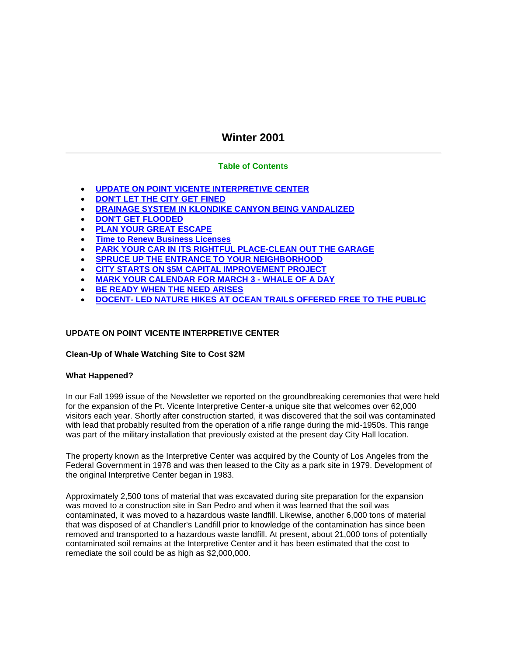# **Winter 2001**

# **Table of Contents**

- **UPDATE ON POINT VICENTE INTERPRETIVE CENTER**
- **DON'T LET THE CITY GET FINED**
- **DRAINAGE SYSTEM IN KLONDIKE CANYON BEING VANDALIZED**
- **DON'T GET FLOODED**
- **PLAN YOUR GREAT ESCAPE**
- **Time to Renew Business Licenses**
- **PARK YOUR CAR IN ITS RIGHTFUL PLACE-CLEAN OUT THE GARAGE**
- **SPRUCE UP THE ENTRANCE TO YOUR NEIGHBORHOOD**
- **CITY STARTS ON \$5M CAPITAL IMPROVEMENT PROJECT**
- **MARK YOUR CALENDAR FOR MARCH 3 - WHALE OF A DAY**
- **BE READY WHEN THE NEED ARISES**
- **DOCENT- LED NATURE HIKES AT OCEAN TRAILS OFFERED FREE TO THE PUBLIC**

# **UPDATE ON POINT VICENTE INTERPRETIVE CENTER**

#### **Clean-Up of Whale Watching Site to Cost \$2M**

#### **What Happened?**

In our Fall 1999 issue of the Newsletter we reported on the groundbreaking ceremonies that were held for the expansion of the Pt. Vicente Interpretive Center-a unique site that welcomes over 62,000 visitors each year. Shortly after construction started, it was discovered that the soil was contaminated with lead that probably resulted from the operation of a rifle range during the mid-1950s. This range was part of the military installation that previously existed at the present day City Hall location.

The property known as the Interpretive Center was acquired by the County of Los Angeles from the Federal Government in 1978 and was then leased to the City as a park site in 1979. Development of the original Interpretive Center began in 1983.

Approximately 2,500 tons of material that was excavated during site preparation for the expansion was moved to a construction site in San Pedro and when it was learned that the soil was contaminated, it was moved to a hazardous waste landfill. Likewise, another 6,000 tons of material that was disposed of at Chandler's Landfill prior to knowledge of the contamination has since been removed and transported to a hazardous waste landfill. At present, about 21,000 tons of potentially contaminated soil remains at the Interpretive Center and it has been estimated that the cost to remediate the soil could be as high as \$2,000,000.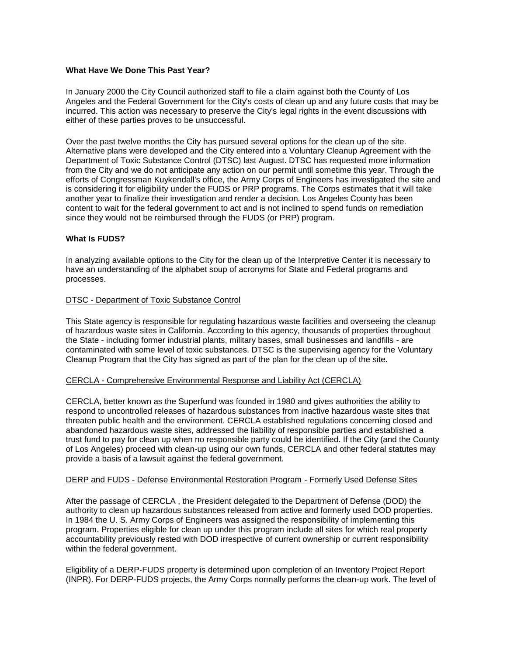## **What Have We Done This Past Year?**

In January 2000 the City Council authorized staff to file a claim against both the County of Los Angeles and the Federal Government for the City's costs of clean up and any future costs that may be incurred. This action was necessary to preserve the City's legal rights in the event discussions with either of these parties proves to be unsuccessful.

Over the past twelve months the City has pursued several options for the clean up of the site. Alternative plans were developed and the City entered into a Voluntary Cleanup Agreement with the Department of Toxic Substance Control (DTSC) last August. DTSC has requested more information from the City and we do not anticipate any action on our permit until sometime this year. Through the efforts of Congressman Kuykendall's office, the Army Corps of Engineers has investigated the site and is considering it for eligibility under the FUDS or PRP programs. The Corps estimates that it will take another year to finalize their investigation and render a decision. Los Angeles County has been content to wait for the federal government to act and is not inclined to spend funds on remediation since they would not be reimbursed through the FUDS (or PRP) program.

## **What Is FUDS?**

In analyzing available options to the City for the clean up of the Interpretive Center it is necessary to have an understanding of the alphabet soup of acronyms for State and Federal programs and processes.

# **DTSC - Department of Toxic Substance Control**

This State agency is responsible for regulating hazardous waste facilities and overseeing the cleanup of hazardous waste sites in California. According to this agency, thousands of properties throughout the State - including former industrial plants, military bases, small businesses and landfills - are contaminated with some level of toxic substances. DTSC is the supervising agency for the Voluntary Cleanup Program that the City has signed as part of the plan for the clean up of the site.

#### CERCLA - Comprehensive Environmental Response and Liability Act (CERCLA)

CERCLA, better known as the Superfund was founded in 1980 and gives authorities the ability to respond to uncontrolled releases of hazardous substances from inactive hazardous waste sites that threaten public health and the environment. CERCLA established regulations concerning closed and abandoned hazardous waste sites, addressed the liability of responsible parties and established a trust fund to pay for clean up when no responsible party could be identified. If the City (and the County of Los Angeles) proceed with clean-up using our own funds, CERCLA and other federal statutes may provide a basis of a lawsuit against the federal government.

#### DERP and FUDS - Defense Environmental Restoration Program - Formerly Used Defense Sites

After the passage of CERCLA , the President delegated to the Department of Defense (DOD) the authority to clean up hazardous substances released from active and formerly used DOD properties. In 1984 the U. S. Army Corps of Engineers was assigned the responsibility of implementing this program. Properties eligible for clean up under this program include all sites for which real property accountability previously rested with DOD irrespective of current ownership or current responsibility within the federal government.

Eligibility of a DERP-FUDS property is determined upon completion of an Inventory Project Report (INPR). For DERP-FUDS projects, the Army Corps normally performs the clean-up work. The level of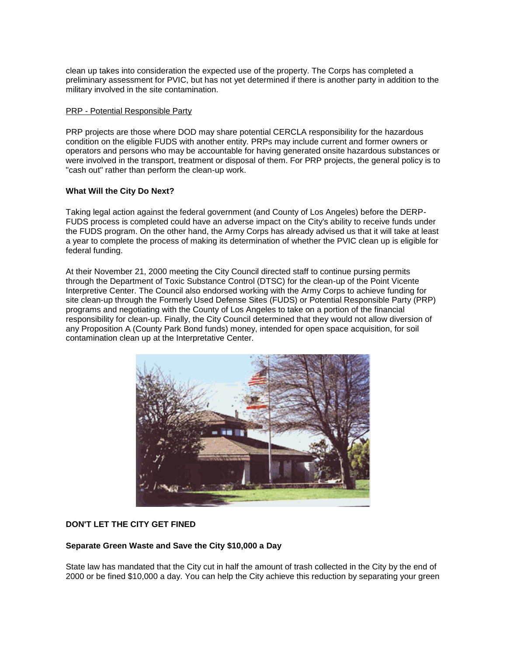clean up takes into consideration the expected use of the property. The Corps has completed a preliminary assessment for PVIC, but has not yet determined if there is another party in addition to the military involved in the site contamination.

#### PRP - Potential Responsible Party

PRP projects are those where DOD may share potential CERCLA responsibility for the hazardous condition on the eligible FUDS with another entity. PRPs may include current and former owners or operators and persons who may be accountable for having generated onsite hazardous substances or were involved in the transport, treatment or disposal of them. For PRP projects, the general policy is to "cash out" rather than perform the clean-up work.

## **What Will the City Do Next?**

Taking legal action against the federal government (and County of Los Angeles) before the DERP-FUDS process is completed could have an adverse impact on the City's ability to receive funds under the FUDS program. On the other hand, the Army Corps has already advised us that it will take at least a year to complete the process of making its determination of whether the PVIC clean up is eligible for federal funding.

At their November 21, 2000 meeting the City Council directed staff to continue pursing permits through the Department of Toxic Substance Control (DTSC) for the clean-up of the Point Vicente Interpretive Center. The Council also endorsed working with the Army Corps to achieve funding for site clean-up through the Formerly Used Defense Sites (FUDS) or Potential Responsible Party (PRP) programs and negotiating with the County of Los Angeles to take on a portion of the financial responsibility for clean-up. Finally, the City Council determined that they would not allow diversion of any Proposition A (County Park Bond funds) money, intended for open space acquisition, for soil contamination clean up at the Interpretative Center.



# **DON'T LET THE CITY GET FINED**

#### **Separate Green Waste and Save the City \$10,000 a Day**

State law has mandated that the City cut in half the amount of trash collected in the City by the end of 2000 or be fined \$10,000 a day. You can help the City achieve this reduction by separating your green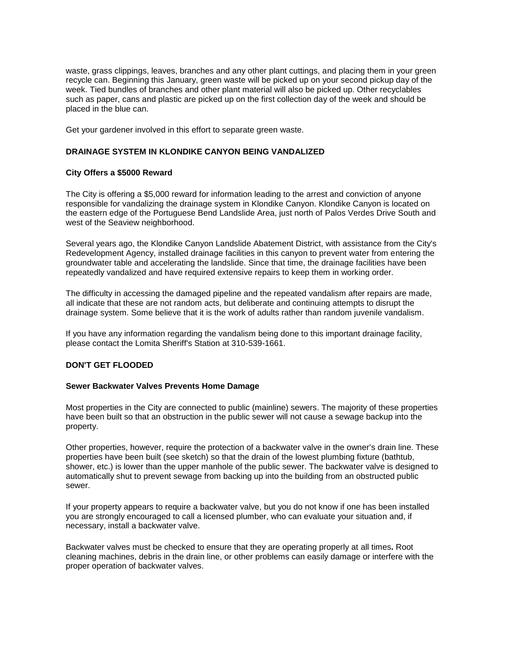waste, grass clippings, leaves, branches and any other plant cuttings, and placing them in your green recycle can. Beginning this January, green waste will be picked up on your second pickup day of the week. Tied bundles of branches and other plant material will also be picked up. Other recyclables such as paper, cans and plastic are picked up on the first collection day of the week and should be placed in the blue can.

Get your gardener involved in this effort to separate green waste.

## **DRAINAGE SYSTEM IN KLONDIKE CANYON BEING VANDALIZED**

## **City Offers a \$5000 Reward**

The City is offering a \$5,000 reward for information leading to the arrest and conviction of anyone responsible for vandalizing the drainage system in Klondike Canyon. Klondike Canyon is located on the eastern edge of the Portuguese Bend Landslide Area, just north of Palos Verdes Drive South and west of the Seaview neighborhood.

Several years ago, the Klondike Canyon Landslide Abatement District, with assistance from the City's Redevelopment Agency, installed drainage facilities in this canyon to prevent water from entering the groundwater table and accelerating the landslide. Since that time, the drainage facilities have been repeatedly vandalized and have required extensive repairs to keep them in working order.

The difficulty in accessing the damaged pipeline and the repeated vandalism after repairs are made, all indicate that these are not random acts, but deliberate and continuing attempts to disrupt the drainage system. Some believe that it is the work of adults rather than random juvenile vandalism.

If you have any information regarding the vandalism being done to this important drainage facility, please contact the Lomita Sheriff's Station at 310-539-1661.

# **DON'T GET FLOODED**

#### **Sewer Backwater Valves Prevents Home Damage**

Most properties in the City are connected to public (mainline) sewers. The majority of these properties have been built so that an obstruction in the public sewer will not cause a sewage backup into the property.

Other properties, however, require the protection of a backwater valve in the owner's drain line. These properties have been built (see sketch) so that the drain of the lowest plumbing fixture (bathtub, shower, etc.) is lower than the upper manhole of the public sewer. The backwater valve is designed to automatically shut to prevent sewage from backing up into the building from an obstructed public sewer.

If your property appears to require a backwater valve, but you do not know if one has been installed you are strongly encouraged to call a licensed plumber, who can evaluate your situation and, if necessary, install a backwater valve.

Backwater valves must be checked to ensure that they are operating properly at all times**.** Root cleaning machines, debris in the drain line, or other problems can easily damage or interfere with the proper operation of backwater valves.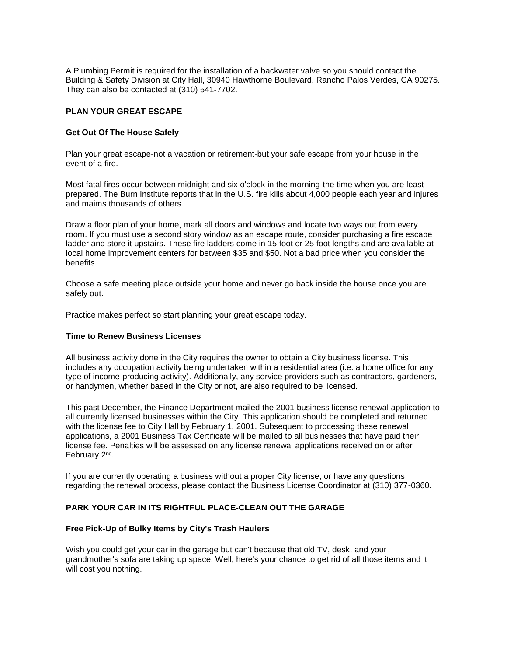A Plumbing Permit is required for the installation of a backwater valve so you should contact the Building & Safety Division at City Hall, 30940 Hawthorne Boulevard, Rancho Palos Verdes, CA 90275. They can also be contacted at (310) 541-7702.

## **PLAN YOUR GREAT ESCAPE**

## **Get Out Of The House Safely**

Plan your great escape-not a vacation or retirement-but your safe escape from your house in the event of a fire.

Most fatal fires occur between midnight and six o'clock in the morning-the time when you are least prepared. The Burn Institute reports that in the U.S. fire kills about 4,000 people each year and injures and maims thousands of others.

Draw a floor plan of your home, mark all doors and windows and locate two ways out from every room. If you must use a second story window as an escape route, consider purchasing a fire escape ladder and store it upstairs. These fire ladders come in 15 foot or 25 foot lengths and are available at local home improvement centers for between \$35 and \$50. Not a bad price when you consider the benefits.

Choose a safe meeting place outside your home and never go back inside the house once you are safely out.

Practice makes perfect so start planning your great escape today.

#### **Time to Renew Business Licenses**

All business activity done in the City requires the owner to obtain a City business license. This includes any occupation activity being undertaken within a residential area (i.e. a home office for any type of income-producing activity). Additionally, any service providers such as contractors, gardeners, or handymen, whether based in the City or not, are also required to be licensed.

This past December, the Finance Department mailed the 2001 business license renewal application to all currently licensed businesses within the City. This application should be completed and returned with the license fee to City Hall by February 1, 2001. Subsequent to processing these renewal applications, a 2001 Business Tax Certificate will be mailed to all businesses that have paid their license fee. Penalties will be assessed on any license renewal applications received on or after February 2<sup>nd</sup>.

If you are currently operating a business without a proper City license, or have any questions regarding the renewal process, please contact the Business License Coordinator at (310) 377-0360.

#### **PARK YOUR CAR IN ITS RIGHTFUL PLACE-CLEAN OUT THE GARAGE**

#### **Free Pick-Up of Bulky Items by City's Trash Haulers**

Wish you could get your car in the garage but can't because that old TV, desk, and your grandmother's sofa are taking up space. Well, here's your chance to get rid of all those items and it will cost you nothing.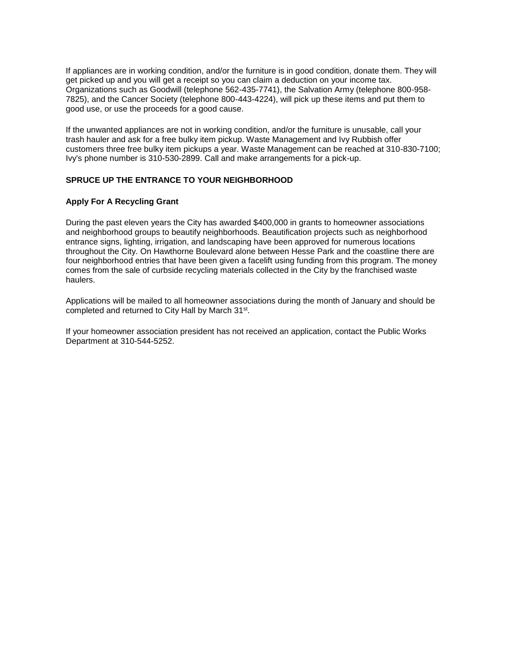If appliances are in working condition, and/or the furniture is in good condition, donate them. They will get picked up and you will get a receipt so you can claim a deduction on your income tax. Organizations such as Goodwill (telephone 562-435-7741), the Salvation Army (telephone 800-958- 7825), and the Cancer Society (telephone 800-443-4224), will pick up these items and put them to good use, or use the proceeds for a good cause.

If the unwanted appliances are not in working condition, and/or the furniture is unusable, call your trash hauler and ask for a free bulky item pickup. Waste Management and Ivy Rubbish offer customers three free bulky item pickups a year. Waste Management can be reached at 310-830-7100; Ivy's phone number is 310-530-2899. Call and make arrangements for a pick-up.

# **SPRUCE UP THE ENTRANCE TO YOUR NEIGHBORHOOD**

# **Apply For A Recycling Grant**

During the past eleven years the City has awarded \$400,000 in grants to homeowner associations and neighborhood groups to beautify neighborhoods. Beautification projects such as neighborhood entrance signs, lighting, irrigation, and landscaping have been approved for numerous locations throughout the City. On Hawthorne Boulevard alone between Hesse Park and the coastline there are four neighborhood entries that have been given a facelift using funding from this program. The money comes from the sale of curbside recycling materials collected in the City by the franchised waste haulers.

Applications will be mailed to all homeowner associations during the month of January and should be completed and returned to City Hall by March 31<sup>st</sup>.

If your homeowner association president has not received an application, contact the Public Works Department at 310-544-5252.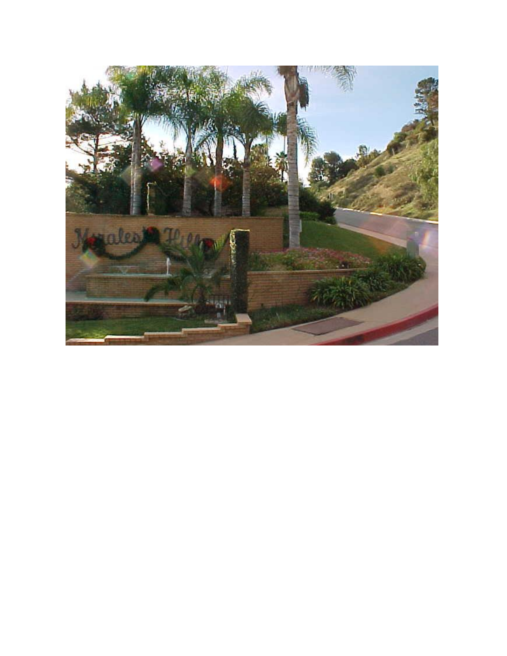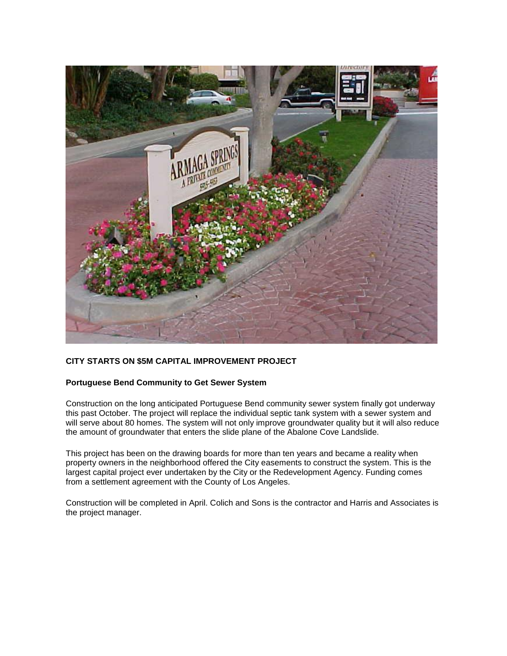

# **CITY STARTS ON \$5M CAPITAL IMPROVEMENT PROJECT**

## **Portuguese Bend Community to Get Sewer System**

Construction on the long anticipated Portuguese Bend community sewer system finally got underway this past October. The project will replace the individual septic tank system with a sewer system and will serve about 80 homes. The system will not only improve groundwater quality but it will also reduce the amount of groundwater that enters the slide plane of the Abalone Cove Landslide.

This project has been on the drawing boards for more than ten years and became a reality when property owners in the neighborhood offered the City easements to construct the system. This is the largest capital project ever undertaken by the City or the Redevelopment Agency. Funding comes from a settlement agreement with the County of Los Angeles.

Construction will be completed in April. Colich and Sons is the contractor and Harris and Associates is the project manager.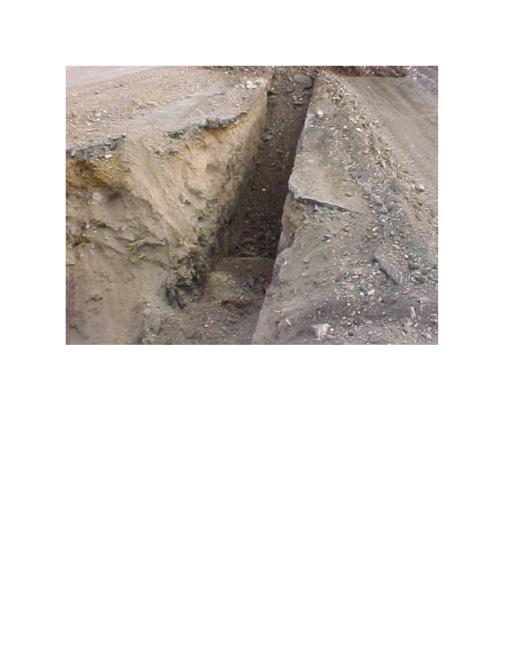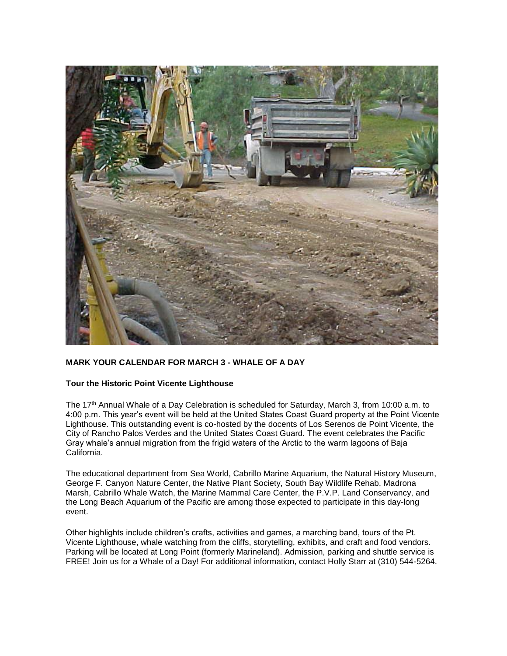

# **MARK YOUR CALENDAR FOR MARCH 3 - WHALE OF A DAY**

#### **Tour the Historic Point Vicente Lighthouse**

The 17th Annual Whale of a Day Celebration is scheduled for Saturday, March 3, from 10:00 a.m. to 4:00 p.m. This year's event will be held at the United States Coast Guard property at the Point Vicente Lighthouse. This outstanding event is co-hosted by the docents of Los Serenos de Point Vicente, the City of Rancho Palos Verdes and the United States Coast Guard. The event celebrates the Pacific Gray whale's annual migration from the frigid waters of the Arctic to the warm lagoons of Baja California.

The educational department from Sea World, Cabrillo Marine Aquarium, the Natural History Museum, George F. Canyon Nature Center, the Native Plant Society, South Bay Wildlife Rehab, Madrona Marsh, Cabrillo Whale Watch, the Marine Mammal Care Center, the P.V.P. Land Conservancy, and the Long Beach Aquarium of the Pacific are among those expected to participate in this day-long event.

Other highlights include children's crafts, activities and games, a marching band, tours of the Pt. Vicente Lighthouse, whale watching from the cliffs, storytelling, exhibits, and craft and food vendors. Parking will be located at Long Point (formerly Marineland). Admission, parking and shuttle service is FREE! Join us for a Whale of a Day! For additional information, contact Holly Starr at (310) 544-5264.